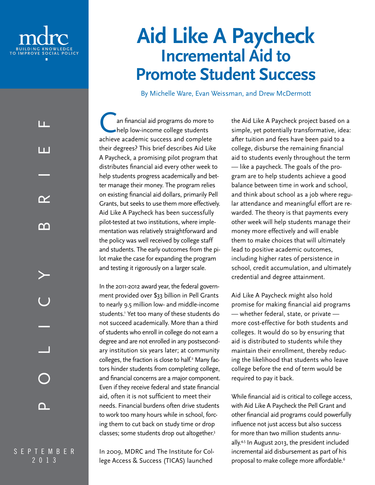

LL.

# **Aid Like A Paycheck Incremental Aid to Promote Student Success**

By Michelle Ware, Evan Weissman, and Drew McDermott

Can financial aid programs do more to<br>help low-income college students help low-income college students achieve academic success and complete their degrees? This brief describes Aid Like A Paycheck, a promising pilot program that distributes financial aid every other week to help students progress academically and better manage their money. The program relies on existing financial aid dollars, primarily Pell Grants, but seeks to use them more effectively. Aid Like A Paycheck has been successfully pilot-tested at two institutions, where implementation was relatively straightforward and the policy was well received by college staff and students. The early outcomes from the pilot make the case for expanding the program and testing it rigorously on a larger scale. In the 2011-2012 award year, the federal government provided over \$33 billion in Pell Grants

to nearly 9.5 million low- and middle-income students.1 Yet too many of these students do not succeed academically. More than a third of students who enroll in college do not earn a degree and are not enrolled in any postsecondary institution six years later; at community colleges, the fraction is close to half.<sup>2</sup> Many factors hinder students from completing college, and financial concerns are a major component. Even if they receive federal and state financial aid, often it is not sufficient to meet their needs. Financial burdens often drive students to work too many hours while in school, forcing them to cut back on study time or drop classes; some students drop out altogether.<sup>3</sup>

In 2009, MDRC and The Institute for College Access & Success (TICAS) launched

the Aid Like A Paycheck project based on a simple, yet potentially transformative, idea: after tuition and fees have been paid to a college, disburse the remaining financial aid to students evenly throughout the term — like a paycheck. The goals of the program are to help students achieve a good balance between time in work and school, and think about school as a job where regular attendance and meaningful effort are rewarded. The theory is that payments every other week will help students manage their money more effectively and will enable them to make choices that will ultimately lead to positive academic outcomes, including higher rates of persistence in school, credit accumulation, and ultimately credential and degree attainment.

Aid Like A Paycheck might also hold promise for making financial aid programs — whether federal, state, or private more cost-effective for both students and colleges. It would do so by ensuring that aid is distributed to students while they maintain their enrollment, thereby reducing the likelihood that students who leave college before the end of term would be required to pay it back.

While financial aid is critical to college access, with Aid Like A Paycheck the Pell Grant and other financial aid programs could powerfully influence not just access but also success for more than two million students annually.4,5 In August 2013, the president included incremental aid disbursement as part of his proposal to make college more affordable.<sup>6</sup>

September 2013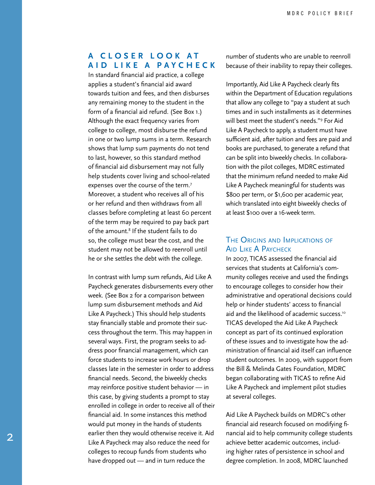## **A C l o s er Look a t A i d L i ke A P a y c h e c k**

In standard financial aid practice, a college applies a student's financial aid award towards tuition and fees, and then disburses any remaining money to the student in the form of a financial aid refund. (See Box 1.) Although the exact frequency varies from college to college, most disburse the refund in one or two lump sums in a term. Research shows that lump sum payments do not tend to last, however, so this standard method of financial aid disbursement may not fully help students cover living and school-related expenses over the course of the term.7 Moreover, a student who receives all of his or her refund and then withdraws from all classes before completing at least 60 percent of the term may be required to pay back part of the amount.8 If the student fails to do so, the college must bear the cost, and the student may not be allowed to reenroll until he or she settles the debt with the college.

In contrast with lump sum refunds, Aid Like A Paycheck generates disbursements every other week. (See Box 2 for a comparison between lump sum disbursement methods and Aid Like A Paycheck.) This should help students stay financially stable and promote their success throughout the term. This may happen in several ways. First, the program seeks to address poor financial management, which can force students to increase work hours or drop classes late in the semester in order to address financial needs. Second, the biweekly checks may reinforce positive student behavior — in this case, by giving students a prompt to stay enrolled in college in order to receive all of their financial aid. In some instances this method would put money in the hands of students earlier then they would otherwise receive it. Aid Like A Paycheck may also reduce the need for colleges to recoup funds from students who have dropped out — and in turn reduce the

number of students who are unable to reenroll because of their inability to repay their colleges.

Importantly, Aid Like A Paycheck clearly fits within the Department of Education regulations that allow any college to "pay a student at such times and in such installments as it determines will best meet the student's needs."9 For Aid Like A Paycheck to apply, a student must have sufficient aid, after tuition and fees are paid and books are purchased, to generate a refund that can be split into biweekly checks. In collaboration with the pilot colleges, MDRC estimated that the minimum refund needed to make Aid Like A Paycheck meaningful for students was \$800 per term, or \$1,600 per academic year, which translated into eight biweekly checks of at least \$100 over a 16-week term.

#### The Origins and Implications of AID LIKE A PAYCHECK

In 2007, TICAS assessed the financial aid services that students at California's community colleges receive and used the findings to encourage colleges to consider how their administrative and operational decisions could help or hinder students' access to financial aid and the likelihood of academic success.<sup>10</sup> TICAS developed the Aid Like A Paycheck concept as part of its continued exploration of these issues and to investigate how the administration of financial aid itself can influence student outcomes. In 2009, with support from the Bill & Melinda Gates Foundation, MDRC began collaborating with TICAS to refine Aid Like A Paycheck and implement pilot studies at several colleges.

Aid Like A Paycheck builds on MDRC's other financial aid research focused on modifying financial aid to help community college students achieve better academic outcomes, including higher rates of persistence in school and degree completion. In 2008, MDRC launched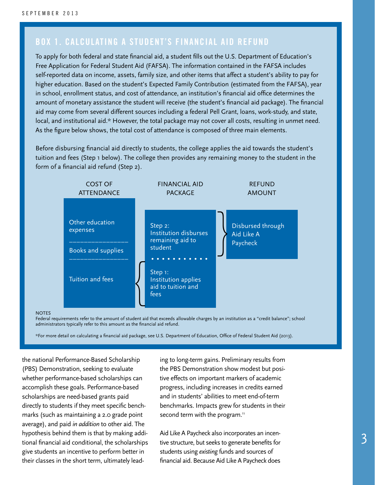# **Box 1. Calculating a Student's Financial Aid Refund**

To apply for both federal and state financial aid, a student fills out the U.S. Department of Education's Free Application for Federal Student Aid (FAFSA). The information contained in the FAFSA includes self-reported data on income, assets, family size, and other items that affect a student's ability to pay for higher education. Based on the student's Expected Family Contribution (estimated from the FAFSA), year in school, enrollment status, and cost of attendance, an institution's financial aid office determines the amount of monetary assistance the student will receive (the student's financial aid package). The financial aid may come from several different sources including a federal Pell Grant, loans, work-study, and state, local, and institutional aid.\* However, the total package may not cover all costs, resulting in unmet need. As the figure below shows, the total cost of attendance is composed of three main elements.

Before disbursing financial aid directly to students, the college applies the aid towards the student's tuition and fees (Step 1 below). The college then provides any remaining money to the student in the form of a financial aid refund (Step 2).



#### **NOTES**

Federal requirements refer to the amount of student aid that exceeds allowable charges by an institution as a "credit balance"; school administrators typically refer to this amount as the financial aid refund.

\*For more detail on calculating a financial aid package, see U.S. Department of Education, Office of Federal Student Aid (2013).

the national Performance-Based Scholarship (PBS) Demonstration, seeking to evaluate whether performance-based scholarships can accomplish these goals. Performance-based scholarships are need-based grants paid directly to students if they meet specific benchmarks (such as maintaining a 2.0 grade point average), and paid *in addition* to other aid. The hypothesis behind them is that by making additional financial aid conditional, the scholarships give students an incentive to perform better in their classes in the short term, ultimately leading to long-term gains. Preliminary results from the PBS Demonstration show modest but positive effects on important markers of academic progress, including increases in credits earned and in students' abilities to meet end-of-term benchmarks. Impacts grew for students in their second term with the program.<sup>11</sup>

Aid Like A Paycheck also incorporates an incentive structure, but seeks to generate benefits for students using *existing* funds and sources of financial aid. Because Aid Like A Paycheck does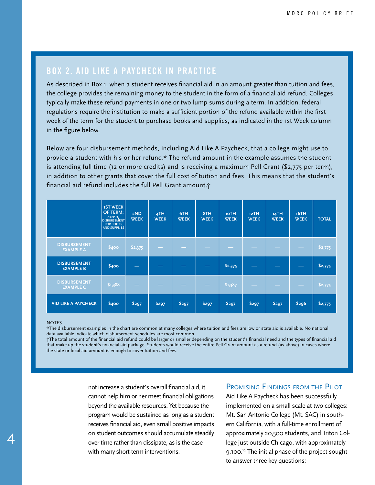# **Box 2. Aid Like A Paycheck in Practice**

As described in Box 1, when a student receives financial aid in an amount greater than tuition and fees, the college provides the remaining money to the student in the form of a financial aid refund. Colleges typically make these refund payments in one or two lump sums during a term. In addition, federal regulations require the institution to make a sufficient portion of the refund available within the first week of the term for the student to purchase books and supplies, as indicated in the 1st Week column in the figure below.

Below are four disbursement methods, including Aid Like A Paycheck, that a college might use to provide a student with his or her refund.\* The refund amount in the example assumes the student is attending full time (12 or more credits) and is receiving a maximum Pell Grant (\$2,775 per term), in addition to other grants that cover the full cost of tuition and fees. This means that the student's financial aid refund includes the full Pell Grant amount.†

|                                         | <b>1ST WEEK</b><br><b>OF TERM:</b><br><b>CREDIT/</b><br><b>DISBURSEMENT</b><br><b>FOR BOOKS</b><br><b>AND SUPPLIES</b> | 2ND<br><b>WEEK</b> | 4TH<br><b>WEEK</b> | 6TH<br><b>WEEK</b> | 8TH<br><b>WEEK</b> | 10TH<br><b>WEEK</b> | 12TH<br><b>WEEK</b> | 14TH<br><b>WEEK</b> | 16TH<br><b>WEEK</b> | <b>TOTAL</b> |
|-----------------------------------------|------------------------------------------------------------------------------------------------------------------------|--------------------|--------------------|--------------------|--------------------|---------------------|---------------------|---------------------|---------------------|--------------|
| <b>DISBURSEMENT</b><br><b>EXAMPLE A</b> | \$400                                                                                                                  | \$2,375            |                    |                    |                    |                     |                     |                     |                     | \$2,775      |
| <b>DISBURSEMENT</b><br><b>EXAMPLE B</b> | \$400                                                                                                                  |                    |                    |                    |                    | \$2,375             |                     |                     |                     | \$2,775      |
| <b>DISBURSEMENT</b><br><b>EXAMPLE C</b> | \$1,388                                                                                                                |                    |                    |                    |                    | \$1,387             |                     |                     |                     | \$2,775      |
| <b>AID LIKE A PAYCHECK</b>              | \$400                                                                                                                  | \$297              | \$297              | \$297              | \$297              | \$297               | \$297               | \$297               | \$296               | \$2,775      |

#### NOTES

4

\*The disbursement examples in the chart are common at many colleges where tuition and fees are low or state aid is available. No national data available indicate which disbursement schedules are most common.

†The total amount of the financial aid refund could be larger or smaller depending on the student's financial need and the types of financial aid that make up the student's financial aid package. Students would receive the entire Pell Grant amount as a refund (as above) in cases where the state or local aid amount is enough to cover tuition and fees.

> not increase a student's overall financial aid, it cannot help him or her meet financial obligations beyond the available resources. Yet because the program would be sustained as long as a student receives financial aid, even small positive impacts on student outcomes should accumulate steadily over time rather than dissipate, as is the case with many short-term interventions.

#### PROMISING FINDINGS FROM THE PILOT

Aid Like A Paycheck has been successfully implemented on a small scale at two colleges: Mt. San Antonio College (Mt. SAC) in southern California, with a full-time enrollment of approximately 20,500 students, and Triton College just outside Chicago, with approximately 9,100.12 The initial phase of the project sought to answer three key questions: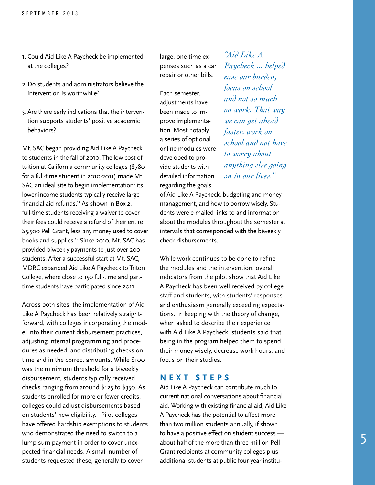- 1. Could Aid Like A Paycheck be implemented at the colleges?
- 2.Do students and administrators believe the intervention is worthwhile?
- 3. Are there early indications that the intervention supports students' positive academic behaviors?

Mt. SAC began providing Aid Like A Paycheck to students in the fall of 2010. The low cost of tuition at California community colleges (\$780 for a full-time student in 2010-2011) made Mt. SAC an ideal site to begin implementation: its lower-income students typically receive large financial aid refunds.13 As shown in Box 2, full-time students receiving a waiver to cover their fees could receive a refund of their entire \$5,500 Pell Grant, less any money used to cover books and supplies.14 Since 2010, Mt. SAC has provided biweekly payments to just over 200 students. After a successful start at Mt. SAC, MDRC expanded Aid Like A Paycheck to Triton College, where close to 150 full-time and parttime students have participated since 2011.

Across both sites, the implementation of Aid Like A Paycheck has been relatively straightforward, with colleges incorporating the model into their current disbursement practices, adjusting internal programming and procedures as needed, and distributing checks on time and in the correct amounts. While \$100 was the minimum threshold for a biweekly disbursement, students typically received checks ranging from around \$125 to \$350. As students enrolled for more or fewer credits, colleges could adjust disbursements based on students' new eligibility.<sup>15</sup> Pilot colleges have offered hardship exemptions to students who demonstrated the need to switch to a lump sum payment in order to cover unexpected financial needs. A small number of students requested these, generally to cover

large, one-time expenses such as a car repair or other bills.

Each semester, adjustments have been made to improve implementation. Most notably, a series of optional online modules were developed to provide students with detailed information regarding the goals

*"Aid Like A Paycheck ... helped ease our burden, focus on school and not so much on work. That way we can get ahead faster, work on school and not have to worry about anything else going on in our lives."*

of Aid Like A Paycheck, budgeting and money management, and how to borrow wisely. Students were e-mailed links to and information about the modules throughout the semester at intervals that corresponded with the biweekly check disbursements.

While work continues to be done to refine the modules and the intervention, overall indicators from the pilot show that Aid Like A Paycheck has been well received by college staff and students, with students' responses and enthusiasm generally exceeding expectations. In keeping with the theory of change, when asked to describe their experience with Aid Like A Paycheck, students said that being in the program helped them to spend their money wisely, decrease work hours, and focus on their studies.

#### **N ext Ste ps**

Aid Like A Paycheck can contribute much to current national conversations about financial aid. Working with existing financial aid, Aid Like A Paycheck has the potential to affect more than two million students annually, if shown to have a positive effect on student success about half of the more than three million Pell Grant recipients at community colleges plus additional students at public four-year institu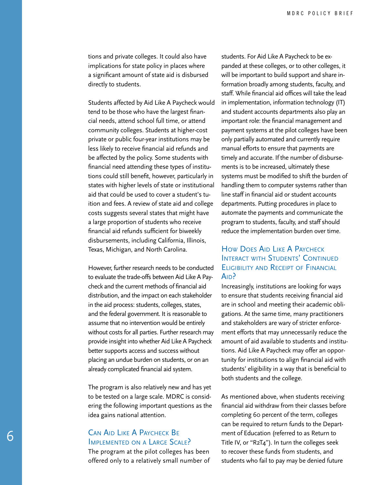tions and private colleges. It could also have implications for state policy in places where a significant amount of state aid is disbursed directly to students.

Students affected by Aid Like A Paycheck would tend to be those who have the largest financial needs, attend school full time, or attend community colleges. Students at higher-cost private or public four-year institutions may be less likely to receive financial aid refunds and be affected by the policy. Some students with financial need attending these types of institutions could still benefit, however, particularly in states with higher levels of state or institutional aid that could be used to cover a student's tuition and fees. A review of state aid and college costs suggests several states that might have a large proportion of students who receive financial aid refunds sufficient for biweekly disbursements, including California, Illinois, Texas, Michigan, and North Carolina.

However, further research needs to be conducted to evaluate the trade-offs between Aid Like A Paycheck and the current methods of financial aid distribution, and the impact on each stakeholder in the aid process: students, colleges, states, and the federal government. It is reasonable to assume that no intervention would be entirely without costs for all parties. Further research may provide insight into whether Aid Like A Paycheck better supports access and success without placing an undue burden on students, or on an already complicated financial aid system.

The program is also relatively new and has yet to be tested on a large scale. MDRC is considering the following important questions as the idea gains national attention.

#### Can Aid Like A Paycheck Be Implemented on <sup>a</sup> Large Scale?

The program at the pilot colleges has been offered only to a relatively small number of students. For Aid Like A Paycheck to be expanded at these colleges, or to other colleges, it will be important to build support and share information broadly among students, faculty, and staff. While financial aid offices will take the lead in implementation, information technology (IT) and student accounts departments also play an important role: the financial management and payment systems at the pilot colleges have been only partially automated and currently require manual efforts to ensure that payments are timely and accurate. If the number of disbursements is to be increased, ultimately these systems must be modified to shift the burden of handling them to computer systems rather than line staff in financial aid or student accounts departments. Putting procedures in place to automate the payments and communicate the program to students, faculty, and staff should reduce the implementation burden over time.

### How Does Aid Like A PAYCHECK INTERACT WITH STUDENTS' CONTINUED Eligibility and Receipt of Financial A<sub>ID</sub>?

Increasingly, institutions are looking for ways to ensure that students receiving financial aid are in school and meeting their academic obligations. At the same time, many practitioners and stakeholders are wary of stricter enforcement efforts that may unnecessarily reduce the amount of aid available to students and institutions. Aid Like A Paycheck may offer an opportunity for institutions to align financial aid with students' eligibility in a way that is beneficial to both students and the college.

As mentioned above, when students receiving financial aid withdraw from their classes before completing 60 percent of the term, colleges can be required to return funds to the Department of Education (referred to as Return to Title IV, or "R2T4"). In turn the colleges seek to recover these funds from students, and students who fail to pay may be denied future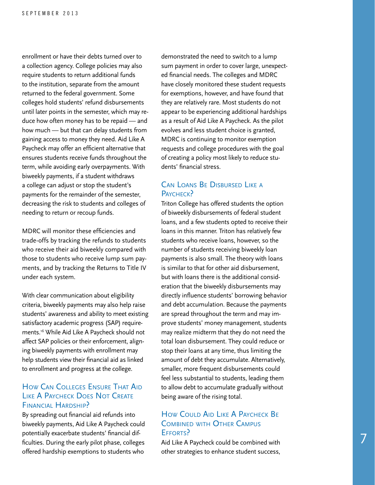enrollment or have their debts turned over to a collection agency. College policies may also require students to return additional funds to the institution, separate from the amount returned to the federal government. Some colleges hold students' refund disbursements until later points in the semester, which may reduce how often money has to be repaid — and how much — but that can delay students from gaining access to money they need. Aid Like A Paycheck may offer an efficient alternative that ensures students receive funds throughout the term, while avoiding early overpayments. With biweekly payments, if a student withdraws a college can adjust or stop the student's payments for the remainder of the semester, decreasing the risk to students and colleges of needing to return or recoup funds.

MDRC will monitor these efficiencies and trade-offs by tracking the refunds to students who receive their aid biweekly compared with those to students who receive lump sum payments, and by tracking the Returns to Title IV under each system.

With clear communication about eligibility criteria, biweekly payments may also help raise students' awareness and ability to meet existing satisfactory academic progress (SAP) requirements.16 While Aid Like A Paycheck should not affect SAP policies or their enforcement, aligning biweekly payments with enrollment may help students view their financial aid as linked to enrollment and progress at the college.

#### How CAN COLLEGES ENSURE THAT AID LIKE A PAYCHECK DOES NOT CREATE FINANCIAL HARDSHIP?

By spreading out financial aid refunds into biweekly payments, Aid Like A Paycheck could potentially exacerbate students' financial difficulties. During the early pilot phase, colleges offered hardship exemptions to students who

demonstrated the need to switch to a lump sum payment in order to cover large, unexpected financial needs. The colleges and MDRC have closely monitored these student requests for exemptions, however, and have found that they are relatively rare. Most students do not appear to be experiencing additional hardships as a result of Aid Like A Paycheck. As the pilot evolves and less student choice is granted, MDRC is continuing to monitor exemption requests and college procedures with the goal of creating a policy most likely to reduce students' financial stress.

#### Can Loans Be Disbursed Like <sup>a</sup> PAYCHECK?

Triton College has offered students the option of biweekly disbursements of federal student loans, and a few students opted to receive their loans in this manner. Triton has relatively few students who receive loans, however, so the number of students receiving biweekly loan payments is also small. The theory with loans is similar to that for other aid disbursement, but with loans there is the additional consideration that the biweekly disbursements may directly influence students' borrowing behavior and debt accumulation. Because the payments are spread throughout the term and may improve students' money management, students may realize midterm that they do not need the total loan disbursement. They could reduce or stop their loans at any time, thus limiting the amount of debt they accumulate. Alternatively, smaller, more frequent disbursements could feel less substantial to students, leading them to allow debt to accumulate gradually without being aware of the rising total.

#### How Could Aid Like A PAYCHECK BE COMBINED WITH OTHER CAMPUS Efforts?

Aid Like A Paycheck could be combined with other strategies to enhance student success,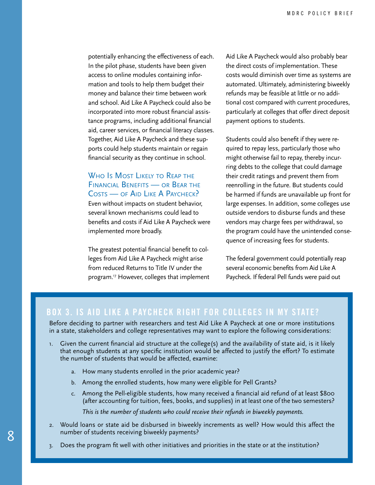potentially enhancing the effectiveness of each. In the pilot phase, students have been given access to online modules containing information and tools to help them budget their money and balance their time between work and school. Aid Like A Paycheck could also be incorporated into more robust financial assistance programs, including additional financial aid, career services, or financial literacy classes. Together, Aid Like A Paycheck and these supports could help students maintain or regain financial security as they continue in school.

### WHO IS MOST LIKELY TO REAP THE Financial Benefits — or Bear the COSTS — OF AID LIKE A PAYCHECK?

Even without impacts on student behavior, several known mechanisms could lead to benefits and costs if Aid Like A Paycheck were implemented more broadly.

The greatest potential financial benefit to colleges from Aid Like A Paycheck might arise from reduced Returns to Title IV under the program.17 However, colleges that implement Aid Like A Paycheck would also probably bear the direct costs of implementation. These costs would diminish over time as systems are automated. Ultimately, administering biweekly refunds may be feasible at little or no additional cost compared with current procedures, particularly at colleges that offer direct deposit payment options to students.

Students could also benefit if they were required to repay less, particularly those who might otherwise fail to repay, thereby incurring debts to the college that could damage their credit ratings and prevent them from reenrolling in the future. But students could be harmed if funds are unavailable up front for large expenses. In addition, some colleges use outside vendors to disburse funds and these vendors may charge fees per withdrawal, so the program could have the unintended consequence of increasing fees for students.

The federal government could potentially reap several economic benefits from Aid Like A Paycheck. If federal Pell funds were paid out

# **Box 3. Is Aid Like A Paycheck Right for Colleges in My State?**

Before deciding to partner with researchers and test Aid Like A Paycheck at one or more institutions in a state, stakeholders and college representatives may want to explore the following considerations:

- 1. Given the current financial aid structure at the college(s) and the availability of state aid, is it likely that enough students at any specific institution would be affected to justify the effort? To estimate the number of students that would be affected, examine:
	- a. How many students enrolled in the prior academic year?
	- b. Among the enrolled students, how many were eligible for Pell Grants?
	- c. Among the Pell-eligible students, how many received a financial aid refund of at least \$800 (after accounting for tuition, fees, books, and supplies) in at least one of the two semesters?

*This is the number of students who could receive their refunds in biweekly payments.*

- 2. Would loans or state aid be disbursed in biweekly increments as well? How would this affect the number of students receiving biweekly payments?
- 3. Does the program fit well with other initiatives and priorities in the state or at the institution?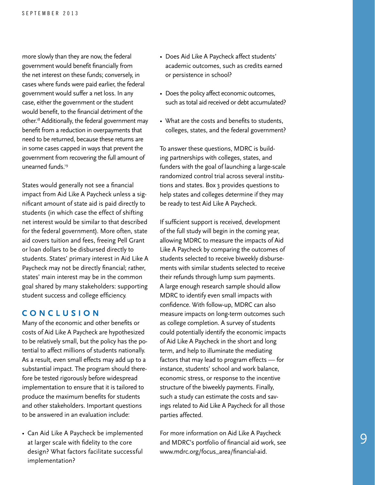more slowly than they are now, the federal government would benefit financially from the net interest on these funds; conversely, in cases where funds were paid earlier, the federal government would suffer a net loss. In any case, either the government or the student would benefit, to the financial detriment of the other.<sup>18</sup> Additionally, the federal government may benefit from a reduction in overpayments that need to be returned, because these returns are in some cases capped in ways that prevent the government from recovering the full amount of unearned funds.19

States would generally not see a financial impact from Aid Like A Paycheck unless a significant amount of state aid is paid directly to students (in which case the effect of shifting net interest would be similar to that described for the federal government). More often, state aid covers tuition and fees, freeing Pell Grant or loan dollars to be disbursed directly to students. States' primary interest in Aid Like A Paycheck may not be directly financial; rather, states' main interest may be in the common goal shared by many stakeholders: supporting student success and college efficiency.

#### **Con cl u si o n**

Many of the economic and other benefits or costs of Aid Like A Paycheck are hypothesized to be relatively small, but the policy has the potential to affect millions of students nationally. As a result, even small effects may add up to a substantial impact. The program should therefore be tested rigorously before widespread implementation to ensure that it is tailored to produce the maximum benefits for students and other stakeholders. Important questions to be answered in an evaluation include:

• Can Aid Like A Paycheck be implemented at larger scale with fidelity to the core design? What factors facilitate successful implementation?

- Does Aid Like A Paycheck affect students' academic outcomes, such as credits earned or persistence in school?
- Does the policy affect economic outcomes, such as total aid received or debt accumulated?
- What are the costs and benefits to students, colleges, states, and the federal government?

To answer these questions, MDRC is building partnerships with colleges, states, and funders with the goal of launching a large-scale randomized control trial across several institutions and states. Box 3 provides questions to help states and colleges determine if they may be ready to test Aid Like A Paycheck.

If sufficient support is received, development of the full study will begin in the coming year, allowing MDRC to measure the impacts of Aid Like A Paycheck by comparing the outcomes of students selected to receive biweekly disbursements with similar students selected to receive their refunds through lump sum payments. A large enough research sample should allow MDRC to identify even small impacts with confidence. With follow-up, MDRC can also measure impacts on long-term outcomes such as college completion. A survey of students could potentially identify the economic impacts of Aid Like A Paycheck in the short and long term, and help to illuminate the mediating factors that may lead to program effects — for instance, students' school and work balance, economic stress, or response to the incentive structure of the biweekly payments. Finally, such a study can estimate the costs and savings related to Aid Like A Paycheck for all those parties affected.

For more information on Aid Like A Paycheck and MDRC's portfolio of financial aid work, see www.mdrc.org/focus\_area/financial-aid.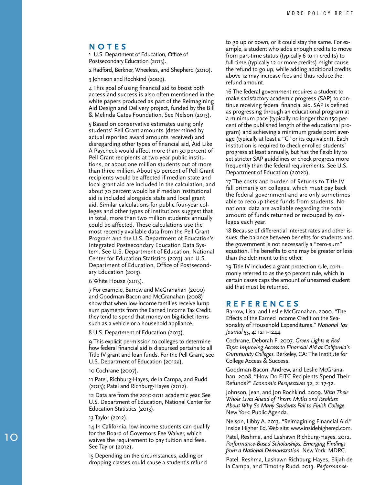#### **NOTE S**

1 U.S. Department of Education, Office of Postsecondary Education (2013).

2 Radford, Berkner, Wheeless, and Shepherd (2010).

3 Johnson and Rochkind (2009).

4 This goal of using financial aid to boost both access and success is also often mentioned in the white papers produced as part of the Reimagining Aid Design and Delivery project, funded by the Bill & Melinda Gates Foundation. See Nelson (2013).

5 Based on conservative estimates using only students' Pell Grant amounts (determined by actual reported award amounts received) and disregarding other types of financial aid, Aid Like A Paycheck would affect more than 30 percent of Pell Grant recipients at two-year public institu tions, or about one million students out of more than three million. About 50 percent of Pell Grant recipients would be affected if median state and local grant aid are included in the calculation, and about 70 percent would be if median institutional aid is included alongside state and local grant aid. Similar calculations for public four-year col leges and other types of institutions suggest that in total, more than two million students annually could be affected. These calculations use the most recently available data from the Pell Grant Program and the U.S. Department of Education's Integrated Postsecondary Education Data Sys tem. See U.S. Department of Education, National Center for Education Statistics (2013) and U.S. Department of Education, Office of Postsecond ary Education (2013).

6 White House (2013).

7 For example, Barrow and McGranahan (2000) and Goodman-Bacon and McGranahan (2008) show that when low-income families receive lump sum payments from the Earned Income Tax Credit, they tend to spend that money on big-ticket items such as a vehicle or a household appliance.

8 U.S. Department of Education (2013).

9 This explicit permission to colleges to determine how federal financial aid is disbursed pertains to all Title IV grant and loan funds. For the Pell Grant, see U.S. Department of Education (2012a).

10 Cochrane (2007).

11 Patel, Richburg-Hayes, de la Campa, and Rudd (2013); Patel and Richburg-Hayes (2012).

12 Data are from the 2010-2011 academic year. See U.S. Department of Education, National Center for Education Statistics (2013).

13 Taylor (2012).

14 In California, low-income students can qualify for the Board of Governors Fee Waiver, which waives the requirement to pay tuition and fees. See Taylor (2012).

15 Depending on the circumstances, adding or dropping classes could cause a student's refund to go up or down, or it could stay the same. For ex ample, a student who adds enough credits to move from part-time status (typically 6 to 11 credits) to full-time (typically 12 or more credits) might cause the refund to go up, while adding additional credits above 12 may increase fees and thus reduce the refund amount.

16 The federal government requires a student to make satisfactory academic progress (SAP) to con tinue receiving federal financial aid. SAP is defined as progressing through an educational program at a minimum pace (typically no longer than 150 per cent of the published length of the educational pro gram) and achieving a minimum grade point aver age (typically at least a "C" or its equivalent). Each institution is required to check enrolled students' progress at least annually, but has the flexibility to set stricter SAP guidelines or check progress more frequently than the federal requirements. See U.S. Department of Education (2012b).

17 The costs and burden of Returns to Title IV fall primarily on colleges, which must pay back the federal government and are only sometimes able to recoup these funds from students. No national data are available regarding the total amount of funds returned or recouped by col leges each year.

18 Because of differential interest rates and other is sues, the balance between benefits for students and the government is not necessarily a "zero-sum" equation. The benefits to one may be greater or less than the detriment to the other.

19 Title IV includes a grant protection rule, com monly referred to as the 50 percent rule, which in certain cases caps the amount of unearned student aid that must be returned.

#### **R eferen c e s**

Barrow, Lisa, and Leslie McGranahan. 2000. "The Effects of the Earned Income Credit on the Sea sonality of Household Expenditures." *National Tax Journal* 53, 4: 1211-1244.

Cochrane, Deborah F. 2007. *Green Lights & Red Tape: Improving Access to Financial Aid at California's Community Colleges*. Berkeley, CA: The Institute for College Access & Success.

Goodman-Bacon, Andrew, and Leslie McGrana han. 2008. "How Do EITC Recipients Spend Their Refunds?" *Economic Perspectives* 32, 2: 17-32.

Johnson, Jean, and Jon Rochkind. 2009. *With Their Whole Lives Ahead of Them: Myths and Realities About Why So Many Students Fail to Finish College*. New York: Public Agenda.

Nelson, Libby A. 2013. "Reimagining Financial Aid." Inside Higher Ed. Web site: www.insidehighered.com.

Patel, Reshma, and Lashawn Richburg-Hayes. 2012. *Performance-Based Scholarships: Emerging Findings from a National Demonstration*. New York: MDRC.

Patel, Reshma, Lashawn Richburg-Hayes, Elijah de la Campa, and Timothy Rudd. 2013. *Performance-*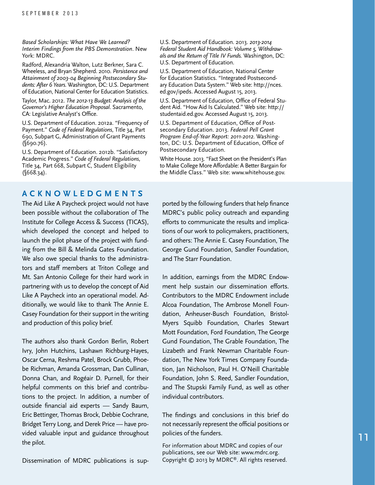*Based Scholarships: What Have We Learned? Interim Findings from the PBS Demonstration*. New York: MDRC.

Radford, Alexandria Walton, Lutz Berkner, Sara C. Wheeless, and Bryan Shepherd. 2010. *Persistence and Attainment of 2003-04 Beginning Postsecondary Students: After 6 Years*. Washington, DC: U.S. Department of Education, National Center for Education Statistics.

Taylor, Mac. 2012. *The 2012-13 Budget: Analysis of the Governor's Higher Education Proposal*. Sacramento, CA: Legislative Analyst's Office.

U.S. Department of Education. 2012a. "Frequency of Payment." *Code of Federal Regulations*, Title 34, Part 690, Subpart G, Administration of Grant Payments (§690.76).

U.S. Department of Education. 2012b. "Satisfactory Academic Progress." *Code of Federal Regulations*, Title 34, Part 668, Subpart C, Student Eligibility  $(\sqrt{668.34})$ .

#### **A c kno wl edgment s**

The Aid Like A Paycheck project would not have been possible without the collaboration of The Institute for College Access & Success (TICAS), which developed the concept and helped to launch the pilot phase of the project with funding from the Bill & Melinda Gates Foundation. We also owe special thanks to the administrators and staff members at Triton College and Mt. San Antonio College for their hard work in partnering with us to develop the concept of Aid Like A Paycheck into an operational model. Additionally, we would like to thank The Annie E. Casey Foundation for their support in the writing and production of this policy brief.

The authors also thank Gordon Berlin, Robert Ivry, John Hutchins, Lashawn Richburg-Hayes, Oscar Cerna, Reshma Patel, Brock Grubb, Phoebe Richman, Amanda Grossman, Dan Cullinan, Donna Chan, and Rogéair D. Purnell, for their helpful comments on this brief and contributions to the project. In addition, a number of outside financial aid experts — Sandy Baum, Eric Bettinger, Thomas Brock, Debbie Cochrane, Bridget Terry Long, and Derek Price — have provided valuable input and guidance throughout the pilot.

U.S. Department of Education. 2013. *2013-2014 Federal Student Aid Handbook: Volume 5, Withdrawals and the Return of Title IV Funds.* Washington, DC: U.S. Department of Education.

U.S. Department of Education, National Center for Education Statistics. "Integrated Postsecondary Education Data System." Web site: http://nces. ed.gov/ipeds. Accessed August 15, 2013.

U.S. Department of Education, Office of Federal Student Aid. "How Aid Is Calculated." Web site: http:// studentaid.ed.gov. Accessed August 15, 2013.

U.S. Department of Education, Office of Postsecondary Education. 2013. *Federal Pell Grant Program End-of-Year Report: 2011-2012*. Washington, DC: U.S. Department of Education, Office of Postsecondary Education.

White House. 2013. "Fact Sheet on the President's Plan to Make College More Affordable: A Better Bargain for the Middle Class." Web site: www.whitehouse.gov.

ported by the following funders that help finance MDRC's public policy outreach and expanding efforts to communicate the results and implications of our work to policymakers, practitioners, and others: The Annie E. Casey Foundation, The George Gund Foundation, Sandler Foundation, and The Starr Foundation.

In addition, earnings from the MDRC Endowment help sustain our dissemination efforts. Contributors to the MDRC Endowment include Alcoa Foundation, The Ambrose Monell Foundation, Anheuser-Busch Foundation, Bristol-Myers Squibb Foundation, Charles Stewart Mott Foundation, Ford Foundation, The George Gund Foundation, The Grable Foundation, The Lizabeth and Frank Newman Charitable Foundation, The New York Times Company Foundation, Jan Nicholson, Paul H. O'Neill Charitable Foundation, John S. Reed, Sandler Foundation, and The Stupski Family Fund, as well as other individual contributors.

The findings and conclusions in this brief do not necessarily represent the official positions or policies of the funders.

For information about MDRC and copies of our publications, see our Web site: www.mdrc.org. Copyright © 2013 by MDRC®. All rights reserved.